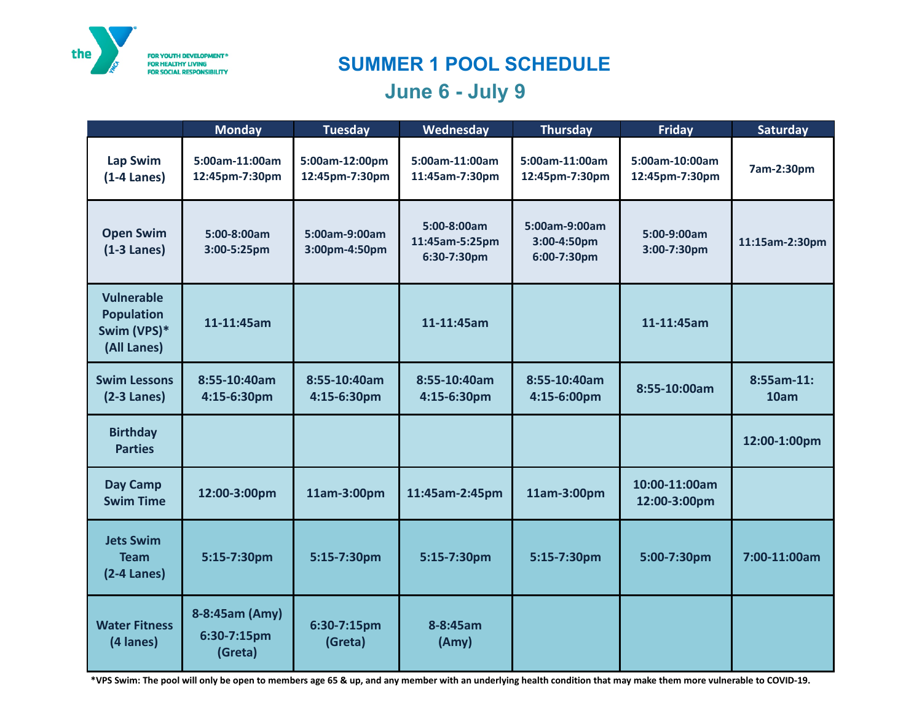

## **SUMMER 1 POOL SCHEDULE**

## **June 6 - July 9**

|                                                                      | <b>Monday</b>                            | <b>Tuesday</b>                   | Wednesday                                    | <b>Thursday</b>                             | <b>Friday</b>                    | <b>Saturday</b>       |
|----------------------------------------------------------------------|------------------------------------------|----------------------------------|----------------------------------------------|---------------------------------------------|----------------------------------|-----------------------|
| <b>Lap Swim</b><br>$(1-4$ Lanes)                                     | 5:00am-11:00am<br>12:45pm-7:30pm         | 5:00am-12:00pm<br>12:45pm-7:30pm | 5:00am-11:00am<br>11:45am-7:30pm             | 5:00am-11:00am<br>12:45pm-7:30pm            | 5:00am-10:00am<br>12:45pm-7:30pm | 7am-2:30pm            |
| <b>Open Swim</b><br>$(1-3$ Lanes)                                    | 5:00-8:00am<br>3:00-5:25pm               | 5:00am-9:00am<br>3:00pm-4:50pm   | 5:00-8:00am<br>11:45am-5:25pm<br>6:30-7:30pm | 5:00am-9:00am<br>3:00-4:50pm<br>6:00-7:30pm | 5:00-9:00am<br>3:00-7:30pm       | 11:15am-2:30pm        |
| <b>Vulnerable</b><br><b>Population</b><br>Swim (VPS)*<br>(All Lanes) | 11-11:45am                               |                                  | 11-11:45am                                   |                                             | 11-11:45am                       |                       |
| <b>Swim Lessons</b><br>$(2-3$ Lanes)                                 | 8:55-10:40am<br>4:15-6:30pm              | 8:55-10:40am<br>4:15-6:30pm      | 8:55-10:40am<br>4:15-6:30pm                  | 8:55-10:40am<br>4:15-6:00pm                 | 8:55-10:00am                     | $8:55am-11$ :<br>10am |
| <b>Birthday</b><br><b>Parties</b>                                    |                                          |                                  |                                              |                                             |                                  | 12:00-1:00pm          |
| <b>Day Camp</b><br><b>Swim Time</b>                                  | 12:00-3:00pm                             | 11am-3:00pm                      | 11:45am-2:45pm                               | 11am-3:00pm                                 | 10:00-11:00am<br>12:00-3:00pm    |                       |
| <b>Jets Swim</b><br><b>Team</b><br>$(2-4$ Lanes)                     | 5:15-7:30pm                              | 5:15-7:30pm                      | 5:15-7:30pm                                  | 5:15-7:30pm                                 | 5:00-7:30pm                      | 7:00-11:00am          |
| <b>Water Fitness</b><br>(4 lanes)                                    | 8-8:45am (Amy)<br>6:30-7:15pm<br>(Greta) | 6:30-7:15pm<br>(Greta)           | 8-8:45am<br>(Amy)                            |                                             |                                  |                       |

**\*VPS Swim: The pool will only be open to members age 65 & up, and any member with an underlying health condition that may make them more vulnerable to COVID-19.**